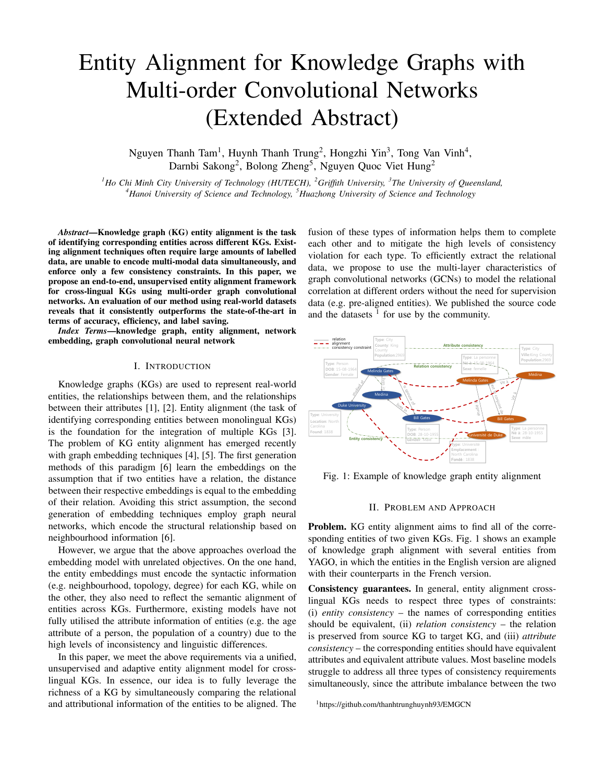# Entity Alignment for Knowledge Graphs with Multi-order Convolutional Networks (Extended Abstract)

Nguyen Thanh Tam<sup>1</sup>, Huynh Thanh Trung<sup>2</sup>, Hongzhi Yin<sup>3</sup>, Tong Van Vinh<sup>4</sup>, Darnbi Sakong<sup>2</sup>, Bolong Zheng<sup>5</sup>, Nguyen Quoc Viet Hung<sup>2</sup>

<sup>1</sup>Ho Chi Minh City University of Technology (HUTECH), <sup>2</sup>Griffith University, <sup>3</sup>The University of Queensland, *4 Hanoi University of Science and Technology, <sup>5</sup> Huazhong University of Science and Technology*

*Abstract*—Knowledge graph (KG) entity alignment is the task of identifying corresponding entities across different KGs. Existing alignment techniques often require large amounts of labelled data, are unable to encode multi-modal data simultaneously, and enforce only a few consistency constraints. In this paper, we propose an end-to-end, unsupervised entity alignment framework for cross-lingual KGs using multi-order graph convolutional networks. An evaluation of our method using real-world datasets reveals that it consistently outperforms the state-of-the-art in terms of accuracy, efficiency, and label saving.

*Index Terms*—knowledge graph, entity alignment, network embedding, graph convolutional neural network

## I. INTRODUCTION

Knowledge graphs (KGs) are used to represent real-world entities, the relationships between them, and the relationships between their attributes [[1\]](#page-1-0), [\[2](#page-1-1)]. Entity alignment (the task of identifying corresponding entities between monolingual KGs) is the foundation for the integration of multiple KGs [\[3](#page-1-2)]. The problem of KG entity alignment has emerged recently with graph embedding techniques [[4\]](#page-1-3), [[5\]](#page-1-4). The first generation methods of this paradigm [\[6](#page-1-5)] learn the embeddings on the assumption that if two entities have a relation, the distance between their respective embeddings is equal to the embedding of their relation. Avoiding this strict assumption, the second generation of embedding techniques employ graph neural networks, which encode the structural relationship based on neighbourhood information [[6\]](#page-1-5).

However, we argue that the above approaches overload the embedding model with unrelated objectives. On the one hand, the entity embeddings must encode the syntactic information (e.g. neighbourhood, topology, degree) for each KG, while on the other, they also need to reflect the semantic alignment of entities across KGs. Furthermore, existing models have not fully utilised the attribute information of entities (e.g. the age attribute of a person, the population of a country) due to the high levels of inconsistency and linguistic differences.

In this paper, we meet the above requirements via a unified, unsupervised and adaptive entity alignment model for crosslingual KGs. In essence, our idea is to fully leverage the richness of a KG by simultaneously comparing the relational and attributional information of the entities to be aligned. The

fusion of these types of information helps them to complete each other and to mitigate the high levels of consistency violation for each type. To efficiently extract the relational data, we propose to use the multi-layer characteristics of graph convolutional networks (GCNs) to model the relational correlation at different orders without the need for supervision data (e.g. pre-aligned entities). We published the source code and the datasets  $1$  for use by the community.

<span id="page-0-1"></span>

Fig. 1: Example of knowledge graph entity alignment

## II. PROBLEM AND APPROACH

Problem. KG entity alignment aims to find all of the corresponding entities of two given KGs. [Fig.](#page-0-1) 1 shows an example of knowledge graph alignment with several entities from YAGO, in which the entities in the English version are aligned with their counterparts in the French version.

Consistency guarantees. In general, entity alignment crosslingual KGs needs to respect three types of constraints: (i) *entity consistency* – the names of corresponding entities should be equivalent, (ii) *relation consistency* – the relation is preserved from source KG to target KG, and (iii) *attribute consistency* – the corresponding entities should have equivalent attributes and equivalent attribute values. Most baseline models struggle to address all three types of consistency requirements simultaneously, since the attribute imbalance between the two

<span id="page-0-0"></span><sup>1</sup>https://github.com/thanhtrunghuynh93/EMGCN